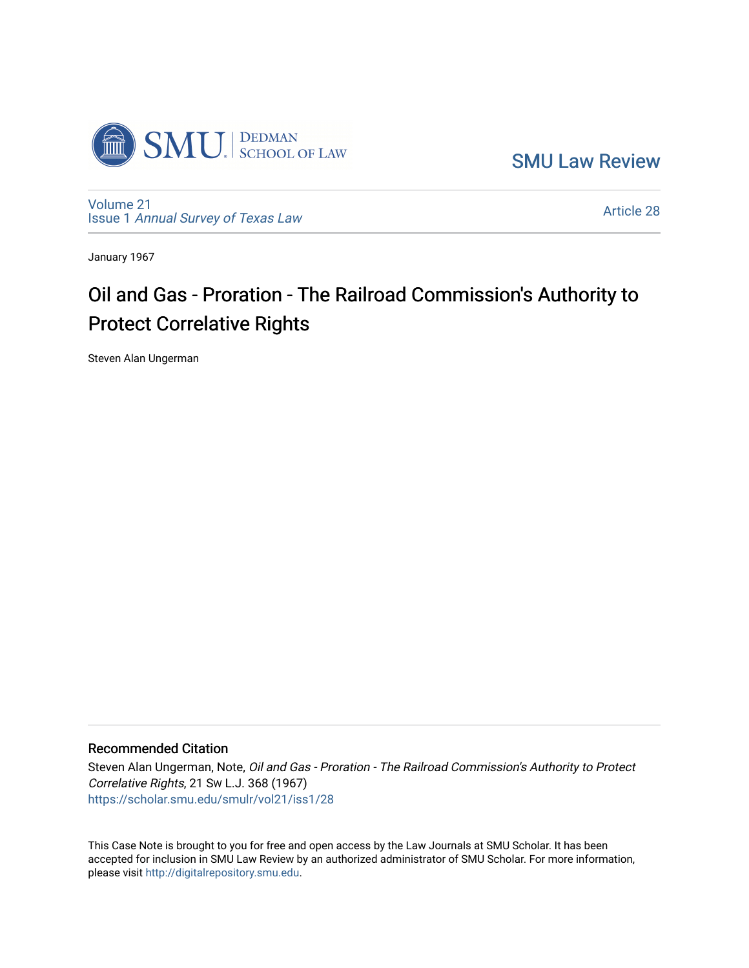

[SMU Law Review](https://scholar.smu.edu/smulr) 

[Volume 21](https://scholar.smu.edu/smulr/vol21) Issue 1 [Annual Survey of Texas Law](https://scholar.smu.edu/smulr/vol21/iss1) 

[Article 28](https://scholar.smu.edu/smulr/vol21/iss1/28) 

January 1967

# Oil and Gas - Proration - The Railroad Commission's Authority to Protect Correlative Rights

Steven Alan Ungerman

### Recommended Citation

Steven Alan Ungerman, Note, Oil and Gas - Proration - The Railroad Commission's Authority to Protect Correlative Rights, 21 SW L.J. 368 (1967) [https://scholar.smu.edu/smulr/vol21/iss1/28](https://scholar.smu.edu/smulr/vol21/iss1/28?utm_source=scholar.smu.edu%2Fsmulr%2Fvol21%2Fiss1%2F28&utm_medium=PDF&utm_campaign=PDFCoverPages)

This Case Note is brought to you for free and open access by the Law Journals at SMU Scholar. It has been accepted for inclusion in SMU Law Review by an authorized administrator of SMU Scholar. For more information, please visit [http://digitalrepository.smu.edu.](http://digitalrepository.smu.edu/)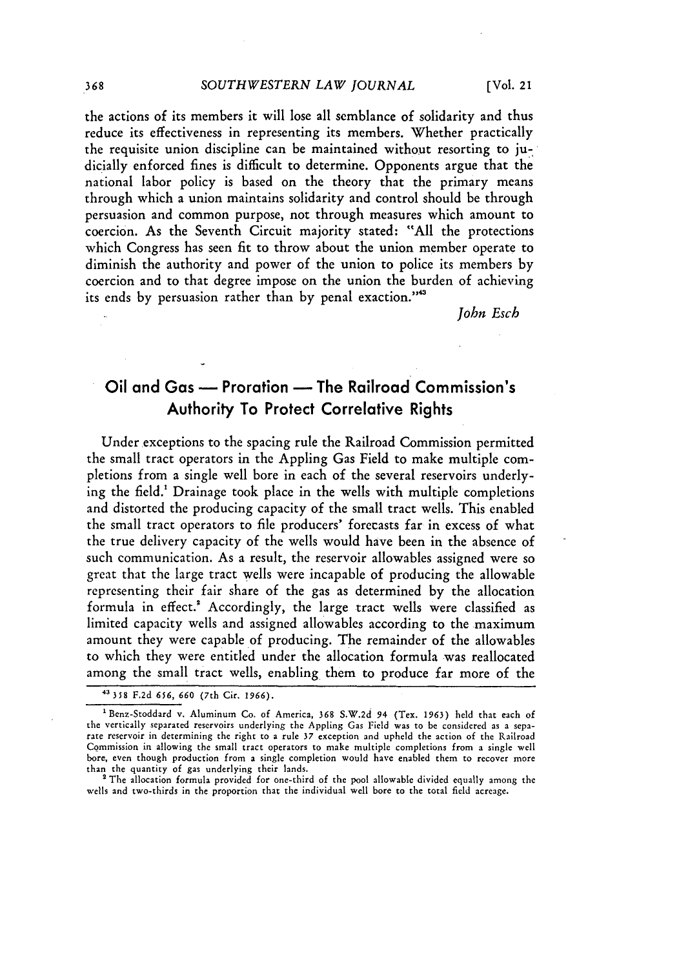the actions of its members it will lose all semblance of solidarity and thus reduce its effectiveness in representing its members. Whether practically the requisite union discipline can be maintained without resorting to judicially enforced fines is difficult to determine. Opponents argue that the national labor policy is based on the theory that the primary means through which a union maintains solidarity and control should be through persuasion and common purpose, not through measures which amount to coercion. As the Seventh Circuit majority stated: "All the protections which Congress has seen fit to throw about the union member operate to diminish the authority and power of the union to police its members by coercion and to that degree impose on the union the burden of achieving its ends by persuasion rather than by penal exaction."<sup>43</sup>

*John Esch*

## Oil and Gas **-** Proration **-** The Railroad Commission's Authority To Protect Correlative Rights

Under exceptions to the spacing rule the Railroad Commission permitted the small tract operators in the Appling Gas Field to make multiple completions from a single well bore in each of the several reservoirs underlying the field.' Drainage took place in the wells with multiple completions and distorted the producing capacity of the small tract wells. This enabled the small tract operators to file producers' forecasts far in excess of what the true delivery capacity of the wells would have been in the absence of such communication. As a result, the reservoir allowables assigned were so great that the large tract wells were incapable of producing the allowable representing their fair share of the gas as determined by the allocation formula in effect.' Accordingly, the large tract wells were classified as limited capacity wells and assigned allowables according to the maximum amount they were capable of producing. The remainder of the allowables to which they were entitled under the allocation formula was reallocated among the small tract wells, enabling them to produce far more of the

wells and two-thirds in the proportion that the individual well bore to the total field acreage.

368

**<sup>43 358</sup>** F.2d **656, 660** (7th Cir. **1966).**

<sup>&#</sup>x27;Benz-Stoddard v. Aluminum Co. of America, **368** S.W.2d 94 (Tex. **1963)** held that each of the vertically separated reservoirs underlying the Appling Gas Field was to be considered as a separate reservoir in determining the right to a rule **37** exception and upheld the action of the Railroad Commission in allowing the small tract operators to make multiple completions from a single well bore, even though production from a single completion would have enabled them to recover more than the quantity **of** gas underlying their lands. The allocation formula provided for one-third of the pool allowable divided equally among the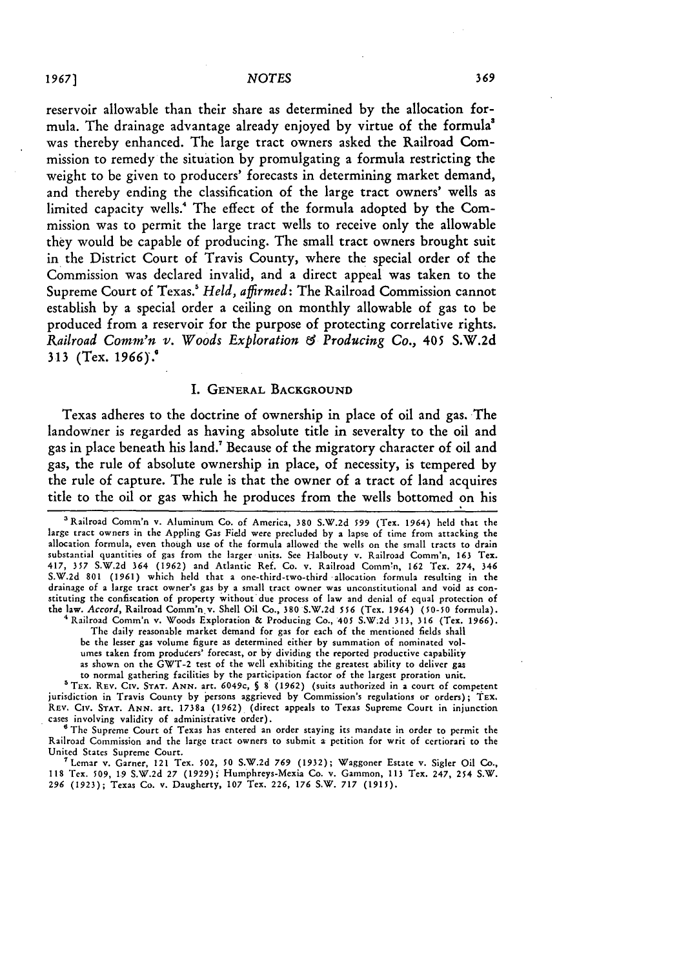#### *1967] NOTES*

reservoir allowable than their share as determined **by** the allocation formula. The drainage advantage already enjoyed **by** virtue of the formula' was thereby enhanced. The large tract owners asked the Railroad Commission to remedy the situation **by** promulgating a formula restricting the weight to be given to producers' forecasts in determining market demand, and thereby ending the classification of the large tract owners' wells as limited capacity wells." The effect of the formula adopted **by** the Commission was to permit the large tract wells to receive only the allowable they would be capable of producing. The small tract owners brought suit in the District Court of Travis County, where the special order of the Commission was declared invalid, and a direct appeal was taken to the Supreme Court of Texas.' *Held, affirmed:* The Railroad Commission cannot establish **by** a special order a ceiling on monthly allowable of gas to be produced from a reservoir for the purpose of protecting correlative rights. *Railroad Comm'n v. Woods Exploration f Producing Co.,* 405 **S.W.2d 313** (Tex. *1966).0*

#### I. GENERAL BACKGROUND

Texas adheres to the doctrine of ownership in place of oil and gas. The landowner is regarded as having absolute title in severalty to the oil and gas in place beneath his land.' Because of the migratory character of oil and gas, the rule of absolute ownership in place, of necessity, is tempered **by** the rule of capture. The rule is that the owner of a tract of land acquires title to the oil or gas which he produces from the wells bottomed on his

The daily reasonable market demand for gas for each of the mentioned fields shall be the lesser gas volume figure as determined either by summation of nominated volumes taken from producers' forecast, or **by** dividing the reported productive capability as shown on the GWT-2 test of the well exhibiting the greatest ability to deliver gas to normal gathering facilities by the participation factor of the largest proration unit.

The Supreme Court of Texas has entered an order staying its mandate in order to permit the Railroad Commission and the large tract owners to submit a petition for writ of certiorari to the United States Supreme Court.

**<sup>7</sup>**Lemar v. Garner, 121 Tex. 502, **50** S.W.2d *769* (1932); Waggoner Estate v. Sigler Oil **Co., 118** Tex. 509, 19 S.W.2d 27 (1929); Humphreys-Mexia Co. v. Gammon, **113** Tex. 247, 254 S.W. *296* (1923); Texas Co. v. Daugherty, **107** Tex. 226, **176** S.W. **717 (1915).**

<sup>&#</sup>x27;Railroad Comm'n v. Aluminum Co. of America, **380** S.W.2d *599* (Tex. 1964) held that the large tract owners in the Appling Gas Field were precluded by a lapse of time from attacking the allocation formula, even though use of the formula allowed the wells on the small tracts to drain substantial quantities of gas from the larger units. See Halbouty v. Railroad Comm'n, **163** Tex. 417, **357** S.W.2d 364 (1962) and Atlantic Ref. Co. v. Railroad Comm'n, 162 Tex. 274, 346 S.W.2d **801** (1961) which held that a one-third-two-third allocation formula resulting in the drainage of a large tract owner's gas by a small tract owner was unconstitutional and void as con-stituting the confiscation of property without due process of law and denial of equal protection of the law. Accord, Railroad Comm'n v. Shell Oil Co., 380 S.W.2d *556* (Tex. 1964) (50-50 formula). ' Railroad Comm'n v. Woods Exploration **&** Producing Co., *405* S.W.2d 313, 316 (Tex. 1966).

<sup>&</sup>lt;sup>5</sup> TEX. REV. CIV. STAT. ANN. art. 6049c, § 8 (1962) (suits authorized in a court of competent in Travis County by persons aggrieved by Commission's regulations or orders); TEX REV. Civ. **STAT. ANN.** art. 1738a **(1962)** (direct appeals to Texas Supreme Court in injunction cases involving validity of administrative order).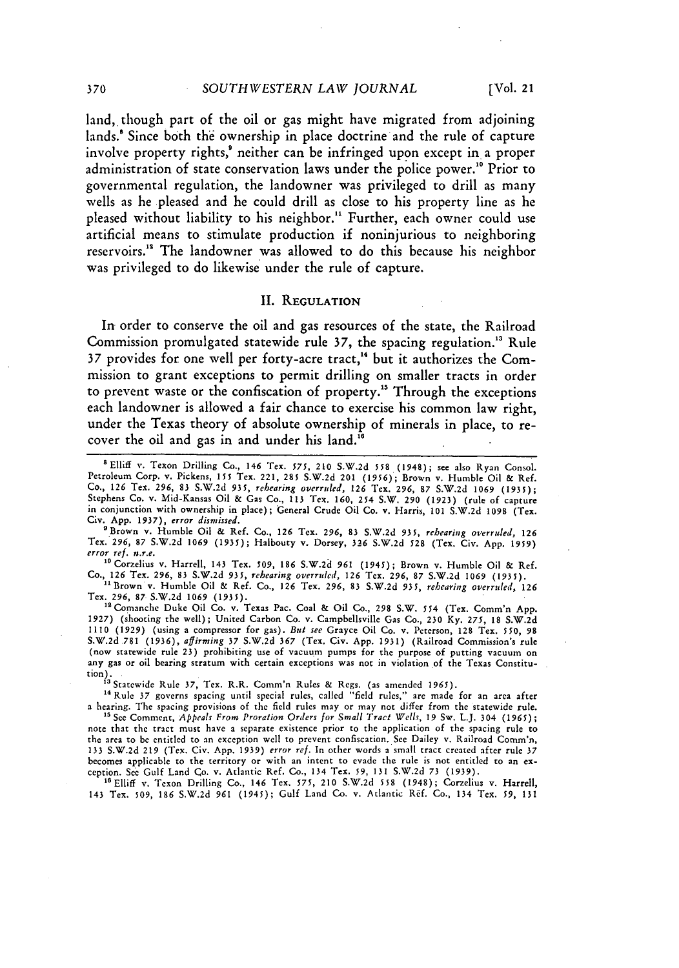land, though part of the oil or gas might have migrated from adjoining lands.! Since both the ownership in place doctrine and the rule of capture involve property rights,' neither can **be** infringed upon except in a proper administration of state conservation laws under the police power.<sup>10</sup> Prior to governmental regulation, the landowner was privileged to drill as many wells as **he** pleased and he could drill as close to his property line as he pleased without liability to his neighbor." Further, each owner could use artificial means to stimulate production if noninjurious to neighboring reservoirs."' The landowner was allowed to do this because his neighbor was privileged to do likewise under the rule of capture.

#### **II. REGULATION**

In order to conserve the oil and gas resources of the state, the Railroad Commission promulgated statewide rule **37,** the spacing regulation." Rule **37** provides for one well per forty-acre tract, 4 but it authorizes the Commission to grant exceptions to permit drilling on smaller tracts in order to prevent waste or the confiscation of property." Through the exceptions each landowner is allowed a fair chance to exercise his common law right, under the Texas theory of absolute ownership of minerals in place, to recover the oil and gas in and under his land.

'Brown v. Humble Oil & Ref. Co., 126 Tex. 296, **83** S.W.2d 935, rehearing *overruled,* **126** Tex. 296, 87 S.W.2d 1069 (1935); Halbouty v. Dorsey, 326 S.W.2d 528 (Tex. Civ. App. 1959) *error ref. nre.*

'sCorzelius v. Harrell, 143 Tex. *509, 186* S.W.2a *961* (1945); Brown v. Humble Oil & Ref. Co., **126** Tex. **296, 83 S.W.2d 935,** *rehearing overruled, 126* Tex. **296, 87 S.W.2d 1069 (1935).**

"Brown v. Humble Oil & Ref. Co., **126** Tex. **296,** 83 **S.W.2d** *935, rehearing overruled, 126*

Tex. 296, 87 S.W.2d 1069 (1935).<br><sup>12</sup> Comanche Duke Oil Co. v. Texas Pac. Coal & Oil Co., 298 S.W. 554 (Tex. Comm'n App.<br>1927) (shooting the well); United Carbon Co. v. Campbellsville Gas Co., 230 Kv. 275, 18 S.W.2d **1110 (1929)** (using a compressor for gas). *But see* Grayce Oil Co. v. Peterson, **128** Tex. *550,* **98 S.W.2d 781 (1936),** affirming **37 S.W.2d 367** (Tex. Civ. **App. 1931)** (Railroad Commission's rule (now statewide rule **23)** prohibiting use of vacuum pumps for the purpose of putting vacuum on any gas or oil bearing stratum with certain exceptions was not in violation of the Texas Constitution).

<sup>13</sup> Statewide Rule 37, Tex. R.R. Comm'n Rules & Regs. (as amended 1965).<br><sup>14</sup> Rule 37 governs spacing until special rules, called "field rules," are made for an area after a hearing. The spacing provisions of the **field** rules may or may not differ from the statewide rule.

**'5** See Comment, *Appeals From Proration Orders for Small Tract Wells,* **19** Sw. L.J. 304 (1965); note that the tract must have a separate existence prior to the application of the spacing rule to the area to be entitled to an exception well to prevent confiscation. See Dailey v. Railroad Comm'n, 133 S.W.2d **219** (Tex. Civ. App. 1939) *error ref.* In other words a small tract created after rule 37 becomes applicable to the territory or with an intent to evade the rule is not entitled to an exception. See Gulf Land Co. v. Atlantic Ref. Co., 134 Tex. **59,** 131 S.W.2d 73 (1939).

"Elliff v. Texon Drilling Co., 146 Tex. **575,** 210 S.W.2d **558** (1948); Corzelius v. Harrell, 143 Tex. 509, **186** S.W.2d **961** (1945); Gulf Land Co. v. Atlantic Rif. Co., 134 Tex. *59,* **131**

<sup>0</sup>Elliff **v.** Texon Drilling Co., 146 Tex. *575,* 210 S.W.2d **558** (1948); see also Ryan Consol. Petroleum Corp. v. Pickens, 155 Tex. 221, 285 S.W.2d 201 (1956); Brown v. Humble Oil & Ref. Co., **126** Tex. 296, **83** S.W.2d 935, *rehearing overruled,* **126** Tex. 296, 87 S.W.2d 1069 (1935); Stephens Co. v. Mid-Kansas Oil & Gas Co., **113** Tex. 160, 254 S.W. 290 (1923) (rule of capture in conjunction with ownership in place); General Crude Oil Co. v. Harris, 101 S.W.2d 1098 (Tex. Civ. App. **1937),** *error dismissed.*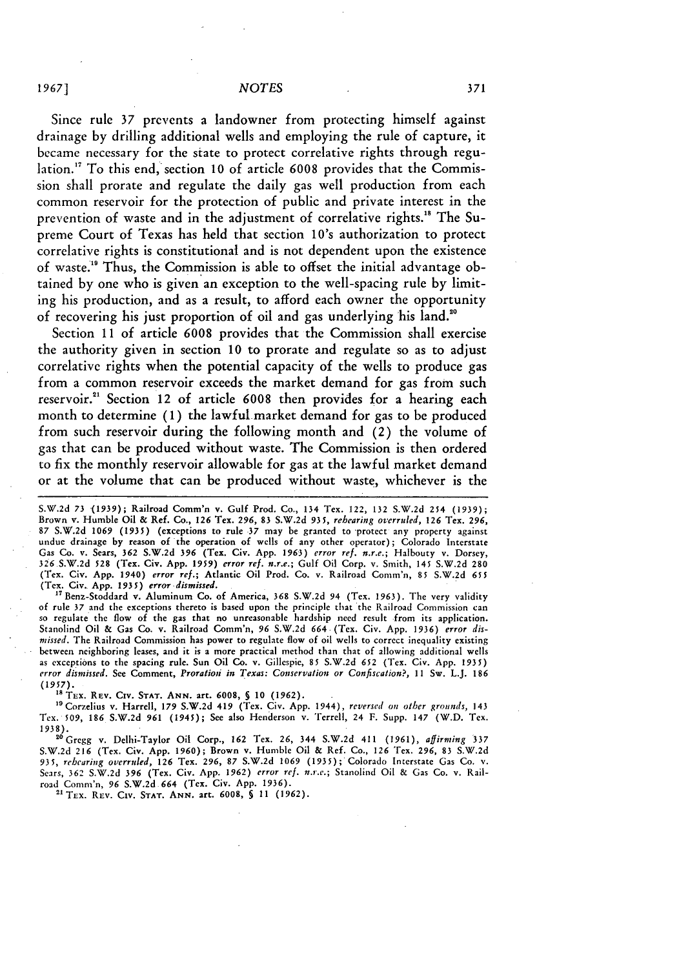Since rule **37** prevents a landowner from protecting himself against drainage **by** drilling additional wells and employing the rule of capture, it became necessary for the state to protect correlative rights through regulation.'7 To this end, section **10** of article **6008** provides that the Commission shall prorate and regulate the daily gas well production from each common reservoir for the protection of public and private interest in the prevention of waste and in the adjustment of correlative rights.'" The Supreme Court of Texas has held that section 10's authorization to protect correlative rights is constitutional and is not dependent upon the existence of waste." Thus, the Commission is able to offset the initial advantage obtained **by** one who is given an exception to the well-spacing rule **by** limiting his production, and as a result, to afford each owner the opportunity of recovering his just proportion of oil and gas underlying his land."

Section **11** of article **6008** provides that the Commission shall exercise the authority given in section **10** to prorate and regulate so as to adjust correlativc rights when the potential capacity of the wells to produce gas from a common reservoir exceeds the market demand for gas from such reservoir." Section 12 of article **6008** then provides for a hearing each month to determine **(1)** the lawful-market demand for gas to be produced from such reservoir during the following month and (2) the volume of gas that can be produced without waste. The Commission is then ordered to fix the monthly reservoir allowable for gas at the lawful market demand or at the volume that can be produced without waste, whichever is the

S.W.2d **73 (1939);** Railroad Comm'n v. Gulf Prod. Co., 134 Tex. 122, **132** S.W.2d 254 **(1939);** Brown v. Humble Oil **&** Ref. Co., **126** Tex. **296, 83 S.W.2d** 935, *rehearing overruled,* 126 Tex. **296,** 87 S.W.2d 1069 (1935) (exceptions to rule 37 may be granted to protect any property against<br>undue drainage by reason of the operation of wells of any other operator); Colorado Interstate Gas Co. v. Sears, **362 S.W.2d 396** (Tex. Civ. **App. 1963)** *error ref. n.r.e.;* Halbouty v. Dorsey, 326 S.W.2d 528 (Tex. Civ. App. 1959) error ref. n.r.e.; Gulf Oil Corp. v. Smith, 145 S.W.2d 280<br>(Tex. Civ. App. 1940) error ref.; Atlantic Oil Prod. Co. v. Railroad Comm'n, 85 S.W.2d 655 (Tex. Civ. App. *1935) error dismissed.*

" <sup>7</sup> Benz-Stoddard v. Aluminum Co. of America, 368 S.W.2d 94 (Tex. **1963).** The very validity of rule 37 and **the** exceptions thereto is based upon the principle that the Railroad Commission can so regulate the flow of the gas that no unreasonable hardship **need** result from its application. Stanolind Oil & Gas Co. v. Railroad Comm'n, 96 S.W.2d 664 (Tex. Civ. App. 1936) *error dismissed.* The Railroad Commission has power to regulate flow of oil wells to correct inequality existing between neighboring leases, and **it** is a more practical method than that of allowing additional wells as exceptions to the spacing rule. Sun Oil Co. **v.** Gillespie, **85** S.W.2d 652 (Tex. Civ. App. 1935) *error dismissed.* See Comment, *Proratioi in Texas: Conservation or Confiscation?,* 11 Sw. L.J. **186** *(1957).* **"** TEx. REV. **CIV. STAT. ANN.** art. **6008,** *§* **10 (1962).**

"Corzelius v. Harrell, **179 S.W.2d 419** (Tex. Civ. App. 1944), *reversed on other grounds,* 143 Tex. 509, **186** S.W.2d **961** (1945); See also Henderson v. Terrell, 24 F. Supp. 147 (W.D. Tex.

1938). "Gregg v. Delhi-Taylor Oil Corp., 162 Tex. 26, 344 S.W.2d 411 (1961), *affirming* **337** S.W.2d 216 (Tex. Civ. App. 1960); Brown v. Humble Oil **&** Ref. Co., 126 Tex. 296, 83 S.W.2d *935, rehearing overruled,* 126 Tex. 296, 87 S.W.2d 1069 **(1935);** Colorado Interstate Gas Co. v. Sears, **362** S.W.2d **396** (Tex. Civ. App. **1962)** *error ref. n.r.c.;* Stanolind Oil & Gas Co. v. Railroad Conm'n, 96 S.W.2d 664 (Tea. Civ. App. 1936).

"TEx. REV. Civ. **STAT. ANN.** art. 6008, **S 11 (1962).**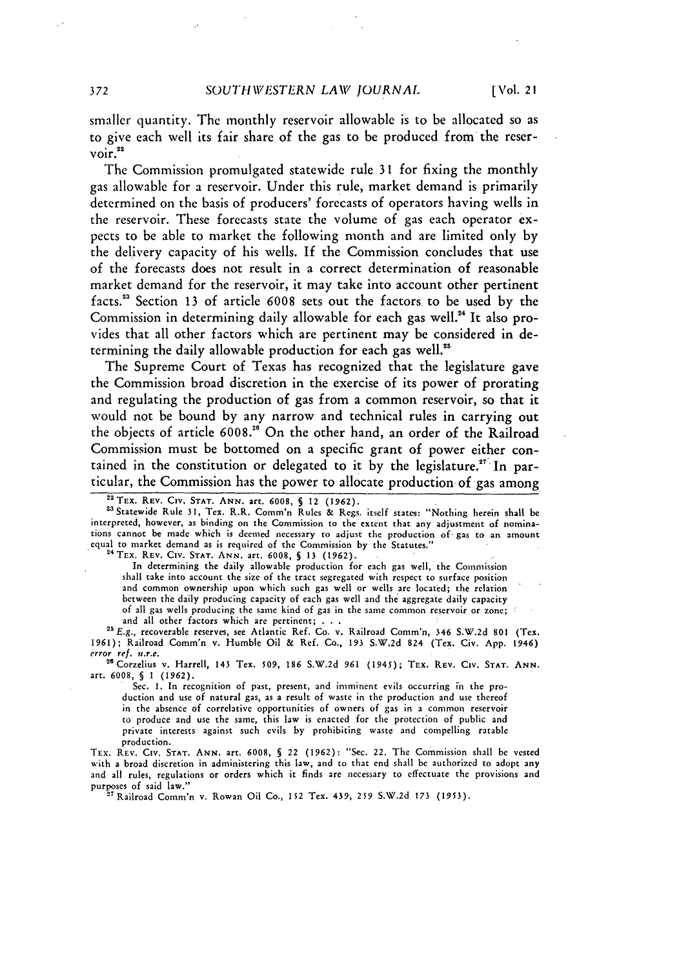smaller quantity. The monthly reservoir allowable is to be allocated so as to give each well its fair share of the gas to be produced from the reser- $\frac{1}{2}$ voir.<sup>22</sup>

The Commission promulgated statewide rule 31 for fixing the monthly gas allowable for a reservoir. Under this rule, market demand is primarily determined on the basis of producers' forecasts of operators having wells in the reservoir. These forecasts state the volume of gas each operator expects to be able to market the following month and are limited only by the delivery capacity of his wells. If the Commission concludes that use of the forecasts does not result in a correct determination of reasonable market demand for the reservoir, it may take into account other pertinent facts.23 Section 13 of article 6008 sets out the factors to be used by the Commission in determining daily allowable for each gas well.<sup>24</sup> It also provides that all other factors which are pertinent may be considered in determining the daily allowable production for each gas well."

The Supreme Court of Texas has recognized that the legislature gave the Commission broad discretion in the exercise of its power of prorating and regulating the production of gas from a common reservoir, so that it would not be bound by any narrow and technical rules in carrying out the objects of article **6008."** On the other hand, an order of the Railroad Commission must be bottomed on a specific grant of power either contained in the constitution or delegated to it by the legislature.<sup>27</sup> In particular, the Commission has the power to allocate production of gas among

23 Statewide Rule 31, Tex. R.R. Comm'n Rules & Regs. itself states: "Nothing herein shall be interpreted, however, as binding on the Commission to the extent that any adjustment of nominations cannot be made which is deemed necessary to adjust the production of- gas to an amount equal to market demand as is required of the Commission by the Statutes."

**24TEx. REV.** Civ. **STAT. ANN.** art. **6008, §** 13 (1962).

In determining the daily allowable production for each gas well, the Commission shall take into account the size of the tract segregated with respect to surface position and common ownership upon which such gas well or wells are located; the relation between the daily producing capacity of each gas well and the aggregate daily capacity of all gas wells producing the same kind of gas in the same common reservoir or zone; and all other factors which are pertinent; **. . .**

**2"E.g.,** recoverable reserves, see Atlantic Ref. Co. v. Railroad Comm'n, 346 S.W.2d **801** (Tex. 1961); Railroad Comm'n v. Humble Oil & Ref. Co., **193 S.W.2d** 824 (Tex. Civ. App. 1946) *error ref. n.r.e.* **"** Corzelius v. Harrell, 143 Tex. **509,** *186* S.W.2d **961** (1945); TEX. REV. **Civ. STAT. ANN.**

art. **6008, § 1 (1962).**

Sec. **1.** In recognition of past, present, and imminent evils occurring in the production and use of natural gas, as a result of waste in the production and use thereof in the absence of correlative opportunities of owners of gas in a common reservoir to produce and use the same, this law is enacted for the protection of public and private interests against such evils **by** prohibiting waste and compelling ratable production.

TEX. REV. Civ. **STAT. ANN.** art. 6008, **§** 22 (1962): "Sec. 22. The Commission shall **be** vested with a broad discretion in administering this law, and to that end shall be authorized to adopt any and all rules, regulations or orders which it finds are necessary to effectuate the provisions and purposes of said law." **27** Railroad Comm'n v. Rowan Oil Co., 152 Tex. 439, **259** S.W.2d **173 (1953).**

**<sup>2</sup> TEx.** REV. **CIv. STAT. ANN.** art. 6008, **S** 12 **(1962).**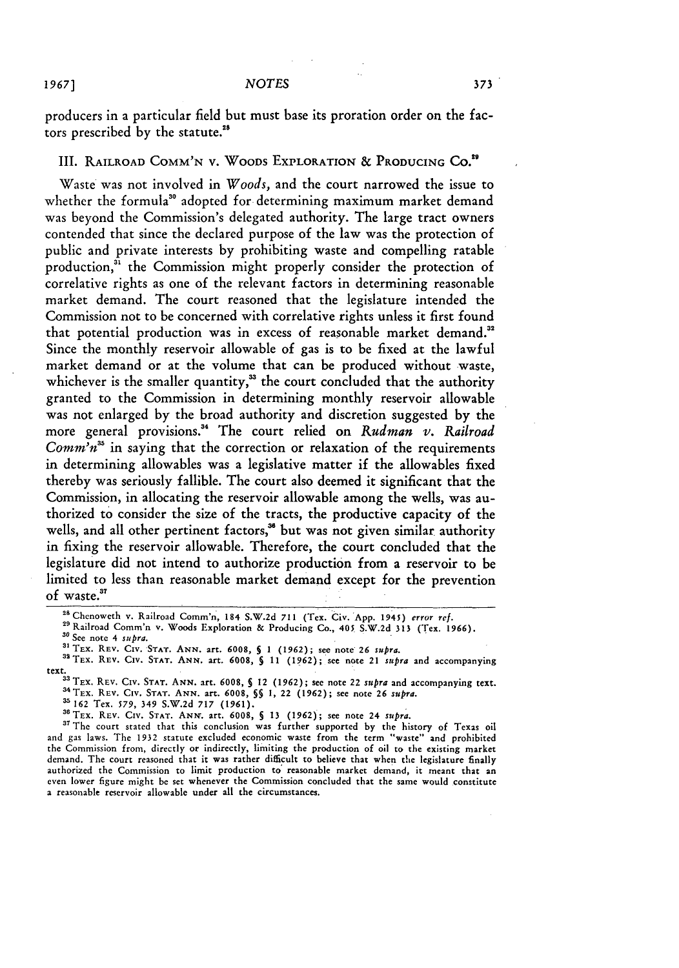producers in a particular field but must base its proration order on the factors prescribed **by** the statute."s

III. RAILROAD **COMM'N** V. WOODS EXPLORATION **& PRODUCING Co."**

Waste was not involved in *Woods,* and the court narrowed the issue to whether the formula<sup>30</sup> adopted for determining maximum market demand was beyond the Commission's delegated authority. The large tract owners contended that since the declared purpose of the law was the protection of public and private interests **by** prohibiting waste and compelling ratable production,<sup>31</sup> the Commission might properly consider the protection of correlative rights as one of the relevant factors in determining reasonable market demand. The court reasoned that the legislature intended the Commission not to be concerned with correlative rights unless it first found that potential production was in excess of reasonable market demand." Since the monthly reservoir allowable of gas is to be fixed at the lawful market demand or at the volume that can be produced without waste, whichever is the smaller quantity,<sup>33</sup> the court concluded that the authority granted to the Commission in determining monthly reservoir allowable was not enlarged **by** the broad authority and discretion suggested **by** the more general provisions."4 The court relied on *Rudman v. Railroad Comm'n*<sup>35</sup> in saying that the correction or relaxation of the requirements in determining allowables was a legislative matter if the allowables fixed thereby was seriously fallible. The court also deemed it significant that the Commission, in allocating the reservoir allowable among the wells, was authorized to consider the size of the tracts, the productive capacity of the wells, and all other pertinent factors,<sup>36</sup> but was not given similar authority in fixing the reservoir allowable. Therefore, the court concluded that the legislature did not intend to authorize production from a reservoir to be limited to less than reasonable market demand except for the prevention of waste.<sup>37</sup>

"aTEx. REV. **CIv. STAT. ANN.** art. **6008,** *5* **11 (1962);** see note 21 *supra* and accompanying

text.**33** TEX. REV. **CIv. STAT. ANN.** art. **6008, §** 12 **(1962);** see note 22 *supra* and accompanying text. **a'TEX. REV.** CIv. **STAT. ANN.** art. **6008,** *§§* **1,** 22 (1962); see note **26** *supjra.*

**35 162** Tex. **579,** 349 **S.W.2d 717 (1961).**

**"0TEX. REv. CIv. STAT. ANN,.** art. **6008, § 13 (1962);** see note 24 *supra.*

**"** The court stated that this conclusion was further supported **by** the history of Texas oil and gas laws. The **1932** statute excluded economic waste from the term "waste" and prohibited the Commission from, directly or indirectly, limiting the production of oil to the existing market demand. The court reasoned that it was rather difficult to believe that when the legislature finally authorized the Commission to limit production **to'** reasonable market demand, it meant that an even lower figure might be set whenever the Commission concluded that the same would constitute a reasonable reservoir allowable under all the circumstances.

<sup>&</sup>lt;sup>28</sup> Chenoweth v. Railroad Comm'n, 184 S.W.2d 711 (Tex. Civ. *App. 1945) error ref.*<br><sup>29</sup> Railroad Comm'n v. Woods Exploration & Producing Co., 405 S.W.2d 313 (Tex. 1966).

<sup>&</sup>lt;sup>29</sup> Railroad Comm'n v. Woods Exploration & Producing Co., 405 S.W.2d 313 (Tex. 1966).<br><sup>30</sup> See note 4 *subra*.

**<sup>3</sup> TEX. REV.** CIv. **STAT. ANN.** art. **6008,** *5* **1 (1962);** see note **26** *supra.*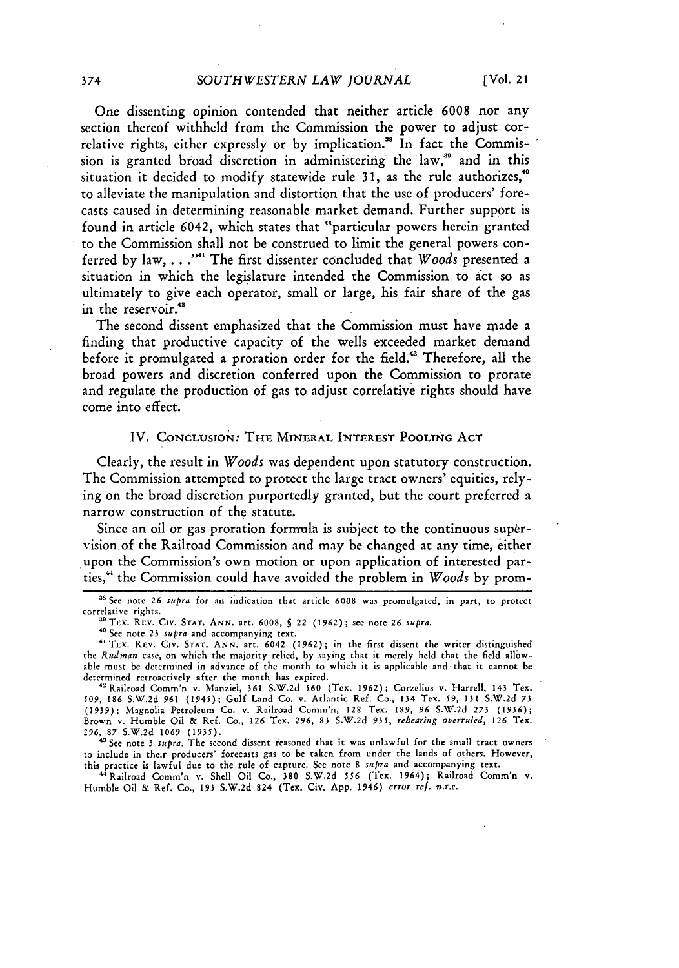One dissenting opinion contended that neither article **6008** nor any section thereof withheld from the Commission the power to adjust correlative rights, either expressly or **by** implication." In fact the Commission is granted broad discretion in administering the law,<sup>39</sup> and in this situation it decided to modify statewide rule **31,** as the rule authorizes,"° to alleviate the manipulation and distortion that the use of producers' forecasts caused in determining reasonable market demand. Further support is found in article 6042, which states that "particular powers herein granted to the Commission shall not be construed to limit the general powers conferred **by** law, **... .""** The first dissenter concluded that *Woods* presented a situation in which the legislature intended the Commission to act so as ultimately to give each operator, small or large, his fair share of the gas in the reservoir.<sup>42</sup>

The second dissent emphasized that the Commission must have made a finding that productive capacity of the wells exceeded market demand before it promulgated a proration order for the field.<sup>43</sup> Therefore, all the broad powers and discretion conferred upon the Commission to prorate and regulate the production of gas **to** adjust correlative rights should have come into effect.

#### IV. **CONCLUSION:** THE MINERAL INTEREST POOLING **ACT**

Clearly, the result in *Woods* was dependent upon statutory construction. The Commission attempted to protect the large tract owners' equities, relying on the broad discretion purportedly granted, but the court preferred a narrow construction of the statute.

Since an oil or gas proration formula is subject to the continuous supervision of the Railroad Commission and may be changed at any time, either upon the Commission's own motion or upon application of interested parties,' the Commission could have avoided the problem in *Woods* **by** prom-

to include in their producers' forecasts gas to be taken from under the lands of others. However, this practice is lawful due to the rule of capture. See note **8 supra** and accompanying text.

'Railroad Comm'n v. **Shell** Oil Co., **380** S.W.2d 556 (Tex. 1964); Railroad Comm'n v. Humble Oil **&** Ref. Co., 193 S.W.2d 824 (Tex. Civ. App. 1946) *error ref.* **.r.e.**

**<sup>3</sup>s** See note **26 supra** for an indication that article **6008** was promulgated, in part, to protect

correlative rights. **"** TEx. REV. **CIv. STAT. ANN.** art. **6008, §** 22 (1962); **see** note **26** *supra.*

<sup>40</sup> See note **23** *supra* and accompanying text.

*<sup>41</sup>* TEx. REv. CIv. **STAT.** ANN. art. 6042 (1962); in the first dissent the writer distinguished the *Rudman* case, on which the majority relied, **by** saying that it merely held that the **field** allowable must **be** determined in advance of the month to which it is applicable and that it cannot **be** determined retroactively after the month has expired.

<sup>&#</sup>x27;Railroad Comm'n v. Manziel, 361 S.W.2d **560** (Tex. 1962); Corzelius v. Harrell, 143 Tex. 509, 186 S.W.2d 961 (1945); Gulf Land Co. v. Atlantic Ref. Co., 134 Tex. 59, **131** S.W.2d 73 (1939); Magnolia Petroleum Co. v. Railroad Comm'n, 128 Tex. 189, *96 S.W.2d 273 (1936);* Brown v. Humble Oil **&** Ref. Co., 126 Tex. *296,* 83 S.W.2d 935, *rehearing overruled, 126* Tex. 296, **87** S.W.2d 1069 (1935). 'See note **3 supra.** The second dissent reasoned **that** it was unlawful for the small tract owners